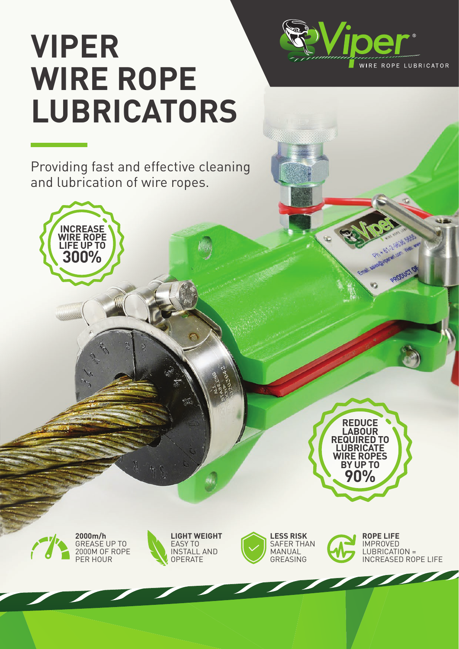# **VIPER WIRE ROPE LUBRICATORS**

Providing fast and effective cleaning and lubrication of wire ropes.





**DAI** 

WIRE ROPE LUBRICATOR

Physician Way Manufacturer Warehouse

PRODUCTS



**LIGHT WEIGHT** EASY TO INSTALL AND **OPERATE** 



**ROPE LIFE** IMPROVED LUBRICATION = INCREASED ROPE LIFE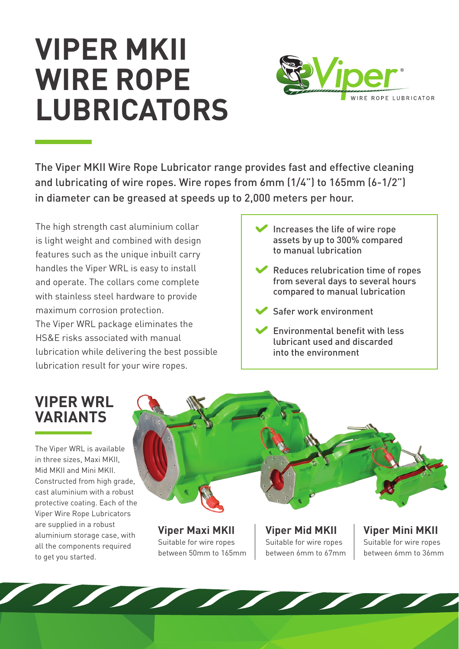# **VIPER MKII WIRE ROPE LUBRICATORS**



The Viper MKII Wire Rope Lubricator range provides fast and effective cleaning and lubricating of wire ropes. Wire ropes from 6mm (1/4") to 165mm (6-1/2") in diameter can be greased at speeds up to 2,000 meters per hour.

The high strength cast aluminium collar is light weight and combined with design features such as the unique inbuilt carry handles the Viper WRL is easy to install and operate. The collars come complete with stainless steel hardware to provide maximum corrosion protection. The Viper WRL package eliminates the HS&E risks associated with manual lubrication while delivering the best possible lubrication result for your wire ropes.

- Increases the life of wire rope assets by up to 300% compared to manual lubrication
- Reduces relubrication time of ropes from several days to several hours compared to manual lubrication
- Safer work environment
- Environmental benefit with less lubricant used and discarded into the environment

## **VIPER WRL VARIANTS**

The Viper WRL is available in three sizes, Maxi MKII, Mid MKII and Mini MKII. Constructed from high grade, cast aluminium with a robust protective coating. Each of the Viper Wire Rope Lubricators are supplied in a robust aluminium storage case, with all the components required to get you started.



**Viper Maxi MKII** Suitable for wire ropes between 50mm to 165mm **Viper Mid MKII**  Suitable for wire ropes between 6mm to 67mm **Viper Mini MKII** Suitable for wire ropes between 6mm to 36mm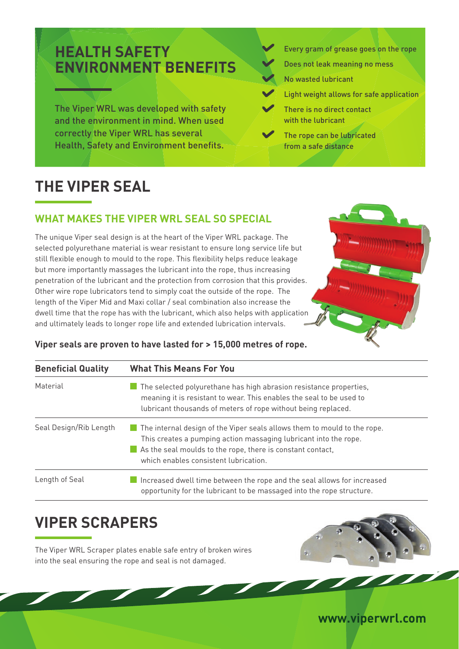## **HEALTH SAFETY ENVIRONMENT BENEFITS**

The Viper WRL was developed with safety and the environment in mind. When used correctly the Viper WRL has several Health, Safety and Environment benefits.

 Every gram of grease goes on the rope Does not leak meaning no mess No wasted lubricant Light weight allows for safe application There is no direct contact with the lubricant

 The rope can be lubricated from a safe distance

## **THE VIPER SEAL**

### **WHAT MAKES THE VIPER WRL SEAL SO SPECIAL**

The unique Viper seal design is at the heart of the Viper WRL package. The selected polyurethane material is wear resistant to ensure long service life but still flexible enough to mould to the rope. This flexibility helps reduce leakage but more importantly massages the lubricant into the rope, thus increasing penetration of the lubricant and the protection from corrosion that this provides. Other wire rope lubricators tend to simply coat the outside of the rope. The length of the Viper Mid and Maxi collar / seal combination also increase the dwell time that the rope has with the lubricant, which also helps with application and ultimately leads to longer rope life and extended lubrication intervals.



#### **Viper seals are proven to have lasted for > 15,000 metres of rope.**

| <b>Beneficial Quality</b> | <b>What This Means For You</b>                                                                                                                                                                                                                              |
|---------------------------|-------------------------------------------------------------------------------------------------------------------------------------------------------------------------------------------------------------------------------------------------------------|
| Material                  | The selected polyurethane has high abrasion resistance properties,<br>meaning it is resistant to wear. This enables the seal to be used to<br>lubricant thousands of meters of rope without being replaced.                                                 |
| Seal Design/Rib Length    | The internal design of the Viper seals allows them to mould to the rope.<br>i si<br>This creates a pumping action massaging lubricant into the rope.<br>As the seal moulds to the rope, there is constant contact,<br>which enables consistent lubrication. |
| Length of Seal            | Increased dwell time between the rope and the seal allows for increased<br>opportunity for the lubricant to be massaged into the rope structure.                                                                                                            |

## **VIPER SCRAPERS**

The Viper WRL Scraper plates enable safe entry of broken wires into the seal ensuring the rope and seal is not damaged.



### **www.viperwrl.com**